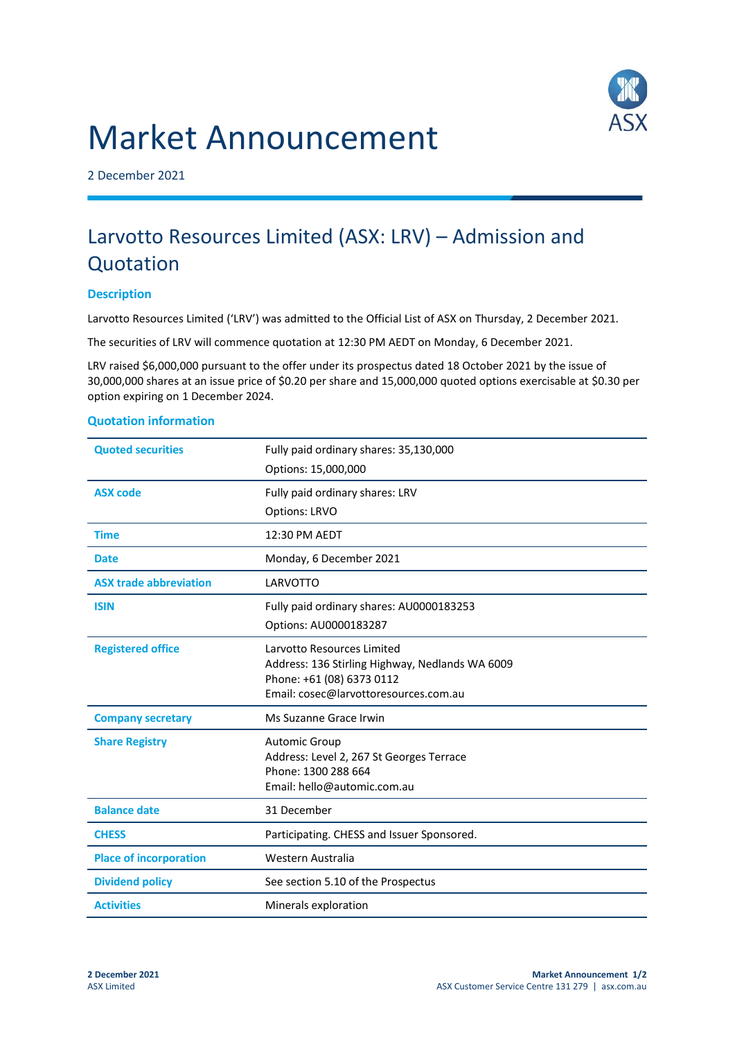# Market Announcement



2 December 2021

## Larvotto Resources Limited (ASX: LRV) – Admission and **Quotation**

#### **Description**

Larvotto Resources Limited ('LRV') was admitted to the Official List of ASX on Thursday, 2 December 2021.

The securities of LRV will commence quotation at 12:30 PM AEDT on Monday, 6 December 2021.

LRV raised \$6,000,000 pursuant to the offer under its prospectus dated 18 October 2021 by the issue of 30,000,000 shares at an issue price of \$0.20 per share and 15,000,000 quoted options exercisable at \$0.30 per option expiring on 1 December 2024.

### **Quoted securities** Fully paid ordinary shares: 35,130,000 Options: 15,000,000 **ASX code** Fully paid ordinary shares: LRV Options: LRVO **Time** 12:30 PM AEDT Date Monday, 6 December 2021 **ASX trade abbreviation** LARVOTTO **ISIN Fully paid ordinary shares: AU0000183253** Options: AU0000183287 **Registered office** Larvotto Resources Limited Address: 136 Stirling Highway, Nedlands WA 6009 Phone: +61 (08) 6373 0112 Email: cosec@larvottoresources.com.au **Company secretary** Ms Suzanne Grace Irwin **Share Registry Manufacture Automic Group** Address: Level 2, 267 St Georges Terrace Phone: 1300 288 664 Email: hello@automic.com.au **Balance date** 31 December **CHESS** Participating. CHESS and Issuer Sponsored. **Place of incorporation** Western Australia **Dividend policy** See section 5.10 of the Prospectus **Activities** Minerals exploration

#### **Quotation information**